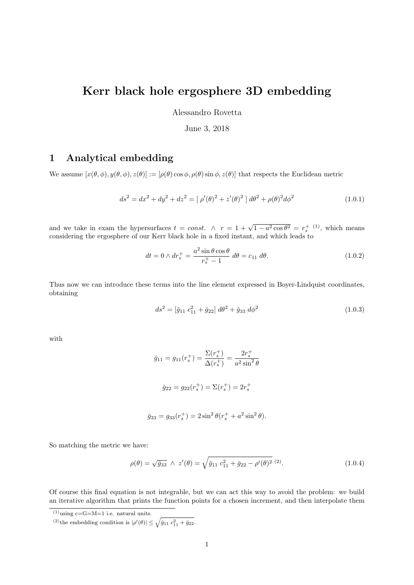# Kerr black hole ergosphere 3D embedding

Alessandro Rovetta

June 3, 2018

### 1 Analytical embedding

We assume  $[x(\theta, \phi), y(\theta, \phi), z(\theta)] := [\rho(\theta) \cos \phi, \rho(\theta) \sin \phi, z(\theta)]$  that respects the Euclidean metric

$$
ds^{2} = dx^{2} + dy^{2} + dz^{2} = [\rho'(\theta)^{2} + z'(\theta)^{2}] d\theta^{2} + \rho(\theta)^{2} d\phi^{2}
$$
\n(1.0.1)

and we take in exam the hypersurfaces  $t = const. \ \land \ r = 1 + \sqrt{1 - a^2 \cos \theta^2} = r_s^+$  (1), which means considering the ergosphere of our Kerr black hole in a fixed instant, and which leads to

$$
dt = 0 \wedge dr_s^+ = \frac{a^2 \sin \theta \cos \theta}{r_s^+ - 1} d\theta = c_{11} d\theta.
$$
 (1.0.2)

Thus now we can introduce these terms into the line element expressed in Boyer-Lindquist coordinates, obtaining

$$
ds^2 = \left[\bar{g}_{11} c_{11}^2 + \bar{g}_{22}\right] d\theta^2 + \bar{g}_{33} d\phi^2 \tag{1.0.3}
$$

with

$$
\bar{g}_{11} = g_{11}(r_s^+) = \frac{\Sigma(r_s^+)}{\Delta(r_s^+)} = \frac{2r_s^+}{a^2 \sin^2 \theta}
$$

$$
\bar{g}_{22} = g_{22}(r_s^+) = \Sigma(r_s^+) = 2 r_s^+
$$

$$
\bar{g}_{33} = g_{33}(r_s^+) = 2\sin^2\theta(r_s^+ + a^2\sin^2\theta).
$$

So matching the metric we have:

$$
\rho(\theta) = \sqrt{\bar{g}_{33}} \ \wedge \ z'(\theta) = \sqrt{\bar{g}_{11} \ c_{11}^2 + \bar{g}_{22} - \rho'(\theta)^2} \ (2).
$$
\n(1.0.4)

Of course this final equation is not integrable, but we can act this way to avoid the problem: we build an iterative algorithm that prints the function points for a chosen increment, and then interpolate them

 $^{(1)}$ using c=G=M=1 i.e. natural units.

<sup>(2)</sup> the embedding condition is  $|\rho'(\theta)| \leq \sqrt{\bar{g}_{11} c_{11}^2 + \bar{g}_{22}}$ .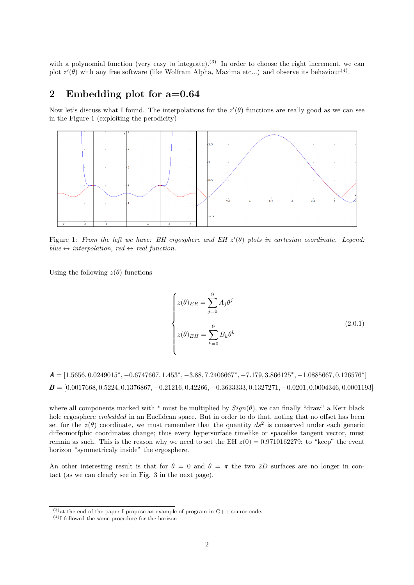with a polynomial function (very easy to integrate).<sup>(3)</sup> In order to choose the right increment, we can plot  $z'(\theta)$  with any free software (like Wolfram Alpha, Maxima etc...) and observe its behaviour<sup>(4)</sup>.

#### 2 Embedding plot for a=0.64

Now let's discuss what I found. The interpolations for the  $z'(\theta)$  functions are really good as we can see in the Figure 1 (exploiting the perodicity)



Figure 1: From the left we have: BH ergosphere and EH  $z'(\theta)$  plots in cartesian coordinate. Legend: blue  $\leftrightarrow$  interpolation, red  $\leftrightarrow$  real function.

Using the following  $z(\theta)$  functions

$$
\begin{cases}\n z(\theta)_{ER} = \sum_{j=0}^{9} A_j \theta^j \\
 z(\theta)_{EH} = \sum_{k=0}^{9} B_k \theta^k\n\end{cases}
$$
\n(2.0.1)

 $A = \begin{bmatrix} 1.5656, 0.0249015^*, -0.6747667, 1.453^*, -3.88, 7.2406667^*, -7.179, 3.866125^*, -1.0885667, 0.126576^* \end{bmatrix}$  $\boldsymbol{B} = [0.0017668, 0.5224, 0.1376867, -0.21216, 0.42266, -0.3633333, 0.1327271, -0.0201, 0.0004346, 0.0001193]$ 

where all components marked with <sup>\*</sup> must be multiplied by  $Sign(\theta)$ , we can finally "draw" a Kerr black hole ergosphere embedded in an Euclidean space. But in order to do that, noting that no offset has been set for the  $z(\theta)$  coordinate, we must remember that the quantity  $ds^2$  is conserved under each generic diffeomorfphic coordinates change; thus every hypersurface timelike or spacelike tangent vector, must remain as such. This is the reason why we need to set the EH  $z(0) = 0.9710162279$ : to "keep" the event horizon "symmetricaly inside" the ergosphere.

An other interesting result is that for  $\theta = 0$  and  $\theta = \pi$  the two 2D surfaces are no longer in contact (as we can clearly see in Fig. 3 in the next page).

 $(3)$ at the end of the paper I propose an example of program in C++ source code.

 $(4)$ I followed the same procedure for the horizon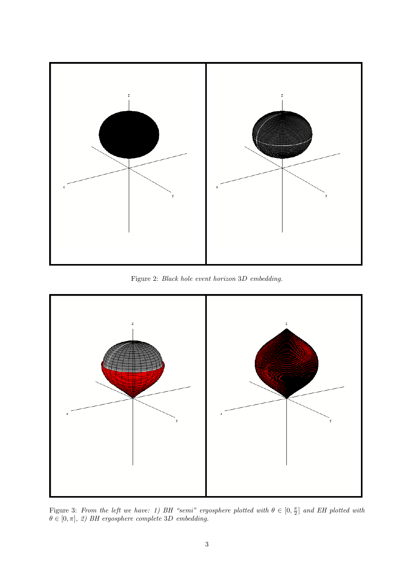

Figure 2: Black hole event horizon 3D embedding.



Figure 3: From the left we have: 1) BH "semi" ergosphere plotted with  $\theta \in [0, \frac{\pi}{2}]$  and EH plotted with  $\theta \in [0, \pi], 2$ ) BH ergosphere complete 3D embedding.